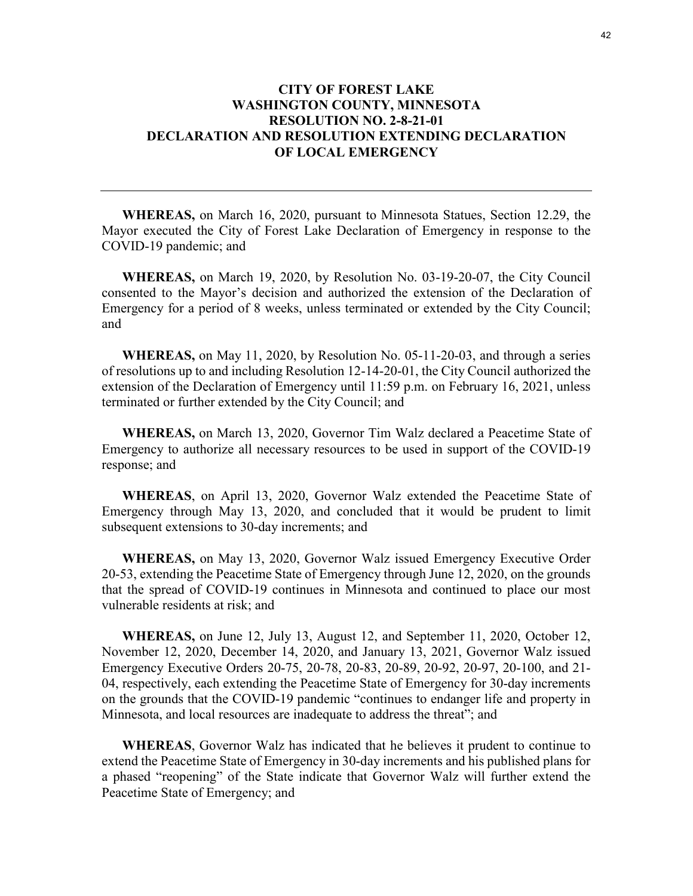## **CITY OF FOREST LAKE WASHINGTON COUNTY, MINNESOTA RESOLUTION NO. 2-8-21-01 DECLARATION AND RESOLUTION EXTENDING DECLARATION OF LOCAL EMERGENCY**

**WHEREAS,** on March 16, 2020, pursuant to Minnesota Statues, Section 12.29, the Mayor executed the City of Forest Lake Declaration of Emergency in response to the COVID-19 pandemic; and

**WHEREAS,** on March 19, 2020, by Resolution No. 03-19-20-07, the City Council consented to the Mayor's decision and authorized the extension of the Declaration of Emergency for a period of 8 weeks, unless terminated or extended by the City Council; and

**WHEREAS,** on May 11, 2020, by Resolution No. 05-11-20-03, and through a series of resolutions up to and including Resolution 12-14-20-01, the City Council authorized the extension of the Declaration of Emergency until 11:59 p.m. on February 16, 2021, unless terminated or further extended by the City Council; and

**WHEREAS,** on March 13, 2020, Governor Tim Walz declared a Peacetime State of Emergency to authorize all necessary resources to be used in support of the COVID-19 response; and

**WHEREAS**, on April 13, 2020, Governor Walz extended the Peacetime State of Emergency through May 13, 2020, and concluded that it would be prudent to limit subsequent extensions to 30-day increments; and

**WHEREAS,** on May 13, 2020, Governor Walz issued Emergency Executive Order 20-53, extending the Peacetime State of Emergency through June 12, 2020, on the grounds that the spread of COVID-19 continues in Minnesota and continued to place our most vulnerable residents at risk; and

**WHEREAS,** on June 12, July 13, August 12, and September 11, 2020, October 12, November 12, 2020, December 14, 2020, and January 13, 2021, Governor Walz issued Emergency Executive Orders 20-75, 20-78, 20-83, 20-89, 20-92, 20-97, 20-100, and 21- 04, respectively, each extending the Peacetime State of Emergency for 30-day increments on the grounds that the COVID-19 pandemic "continues to endanger life and property in Minnesota, and local resources are inadequate to address the threat"; and

**WHEREAS**, Governor Walz has indicated that he believes it prudent to continue to extend the Peacetime State of Emergency in 30-day increments and his published plans for a phased "reopening" of the State indicate that Governor Walz will further extend the Peacetime State of Emergency; and